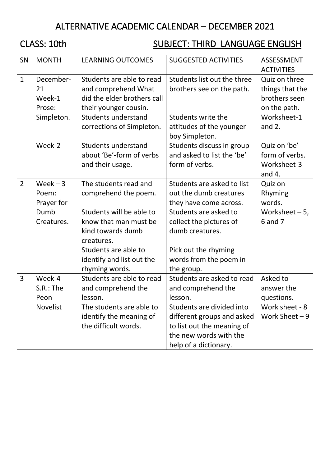# ALTERNATIVE ACADEMIC CALENDAR – DECEMBER 2021

# CLASS: 10th SUBJECT: THIRD LANGUAGE ENGLISH

| SN             | <b>MONTH</b>                                            | <b>LEARNING OUTCOMES</b>                                                                                                                  | <b>SUGGESTED ACTIVITIES</b>                                                                                                                                                                             | <b>ASSESSMENT</b><br><b>ACTIVITIES</b>                                    |
|----------------|---------------------------------------------------------|-------------------------------------------------------------------------------------------------------------------------------------------|---------------------------------------------------------------------------------------------------------------------------------------------------------------------------------------------------------|---------------------------------------------------------------------------|
| $\mathbf{1}$   | December-<br>21<br>Week-1<br>Prose:                     | Students are able to read<br>and comprehend What<br>did the elder brothers call<br>their younger cousin.                                  | Students list out the three<br>brothers see on the path.                                                                                                                                                | Quiz on three<br>things that the<br>brothers seen<br>on the path.         |
|                | Simpleton.                                              | <b>Students understand</b><br>corrections of Simpleton.                                                                                   | Students write the<br>attitudes of the younger<br>boy Simpleton.                                                                                                                                        | Worksheet-1<br>and $2.$                                                   |
|                | Week-2                                                  | Students understand<br>about 'Be'-form of verbs<br>and their usage.                                                                       | Students discuss in group<br>and asked to list the 'be'<br>form of verbs.                                                                                                                               | Quiz on 'be'<br>form of verbs.<br>Worksheet-3<br>and $4.$                 |
| $\overline{2}$ | $Week - 3$<br>Poem:<br>Prayer for<br>Dumb<br>Creatures. | The students read and<br>comprehend the poem.<br>Students will be able to<br>know that man must be<br>kind towards dumb                   | Students are asked to list<br>out the dumb creatures<br>they have come across.<br>Students are asked to<br>collect the pictures of<br>dumb creatures.                                                   | Quiz on<br><b>Rhyming</b><br>words.<br>Worksheet $-5$ ,<br>6 and 7        |
|                |                                                         | creatures.<br>Students are able to<br>identify and list out the<br>rhyming words.                                                         | Pick out the rhyming<br>words from the poem in<br>the group.                                                                                                                                            |                                                                           |
| 3              | Week-4<br>$S.R.:$ The<br>Peon<br>Novelist               | Students are able to read<br>and comprehend the<br>lesson.<br>The students are able to<br>identify the meaning of<br>the difficult words. | Students are asked to read<br>and comprehend the<br>lesson.<br>Students are divided into<br>different groups and asked<br>to list out the meaning of<br>the new words with the<br>help of a dictionary. | Asked to<br>answer the<br>questions.<br>Work sheet - 8<br>Work Sheet $-9$ |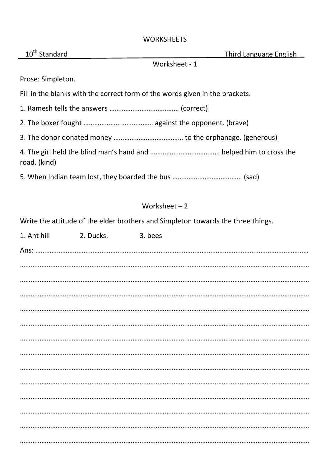#### **WORKSHEETS**

| 10 <sup>th</sup> Standard                                                    | <b>Third Language English</b> |
|------------------------------------------------------------------------------|-------------------------------|
|                                                                              | Worksheet - 1                 |
| Prose: Simpleton.                                                            |                               |
| Fill in the blanks with the correct form of the words given in the brackets. |                               |
|                                                                              |                               |
|                                                                              |                               |
|                                                                              |                               |
| road. (kind)                                                                 |                               |
|                                                                              |                               |

## Worksheet – 2

Write the attitude of the elder brothers and Simpleton towards the three things.

| 1. Ant hill | 2. Ducks. | 3. bees |  |
|-------------|-----------|---------|--|
|             |           |         |  |
|             |           |         |  |
|             |           |         |  |
|             |           |         |  |
|             |           |         |  |
|             |           |         |  |
|             |           |         |  |
|             |           |         |  |
|             |           |         |  |
|             |           |         |  |
|             |           |         |  |
|             |           |         |  |
|             |           |         |  |
|             |           |         |  |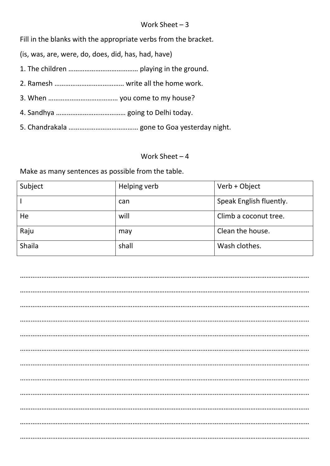#### Work Sheet – 3

Fill in the blanks with the appropriate verbs from the bracket.

(is, was, are, were, do, does, did, has, had, have)

- 1. The children ………………………………… playing in the ground.
- 2. Ramesh ………………………………… write all the home work.
- 3. When ………………………………… you come to my house?
- 4. Sandhya ………………………………… going to Delhi today.
- 5. Chandrakala ………………………………… gone to Goa yesterday night.

#### Work Sheet – 4

Make as many sentences as possible from the table.

| Subject | Helping verb | Verb + Object           |
|---------|--------------|-------------------------|
|         | can          | Speak English fluently. |
| He      | will         | Climb a coconut tree.   |
| Raju    | may          | Clean the house.        |
| Shaila  | shall        | Wash clothes.           |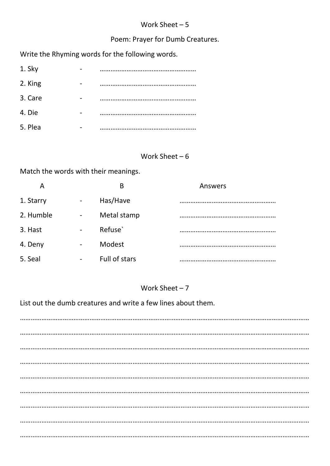### Work Sheet  $-5$

## Poem: Prayer for Dumb Creatures.

Write the Rhyming words for the following words.

| 1. Sky  |          |
|---------|----------|
| 2. King |          |
| 3. Care | $\cdots$ |
| 4. Die  |          |
| 5. Plea |          |

#### Work Sheet  $-6$

Match the words with their meanings.

| A         |   | B             | Answers |
|-----------|---|---------------|---------|
| 1. Starry |   | Has/Have      |         |
| 2. Humble | - | Metal stamp   |         |
| 3. Hast   |   | Refuse`       |         |
| 4. Deny   | - | Modest        |         |
| 5. Seal   |   | Full of stars |         |

### Work Sheet  $-7$

List out the dumb creatures and write a few lines about them.